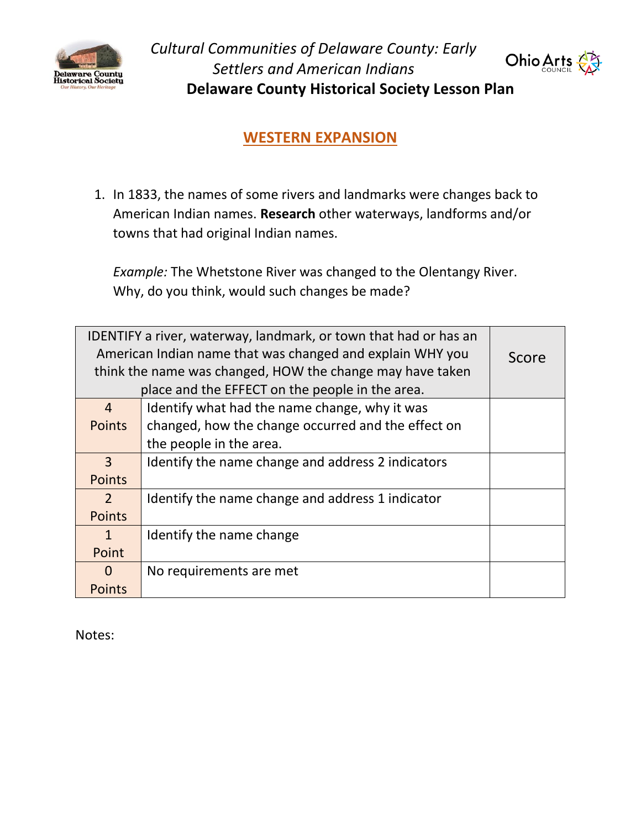

*Cultural Communities of Delaware County: Early Settlers and American Indians* **Delaware County Historical Society Lesson Plan**



**WESTERN EXPANSION**

1. In 1833, the names of some rivers and landmarks were changes back to American Indian names. **Research** other waterways, landforms and/or towns that had original Indian names.

*Example:* The Whetstone River was changed to the Olentangy River. Why, do you think, would such changes be made?

| IDENTIFY a river, waterway, landmark, or town that had or has an<br>American Indian name that was changed and explain WHY you<br>think the name was changed, HOW the change may have taken<br>place and the EFFECT on the people in the area. |                                                    | Score |
|-----------------------------------------------------------------------------------------------------------------------------------------------------------------------------------------------------------------------------------------------|----------------------------------------------------|-------|
| $\overline{4}$                                                                                                                                                                                                                                | Identify what had the name change, why it was      |       |
| <b>Points</b>                                                                                                                                                                                                                                 | changed, how the change occurred and the effect on |       |
|                                                                                                                                                                                                                                               | the people in the area.                            |       |
| 3                                                                                                                                                                                                                                             | Identify the name change and address 2 indicators  |       |
| <b>Points</b>                                                                                                                                                                                                                                 |                                                    |       |
| $\overline{2}$                                                                                                                                                                                                                                | Identify the name change and address 1 indicator   |       |
| <b>Points</b>                                                                                                                                                                                                                                 |                                                    |       |
| $\mathbf{1}$                                                                                                                                                                                                                                  | Identify the name change                           |       |
| Point                                                                                                                                                                                                                                         |                                                    |       |
| 0                                                                                                                                                                                                                                             | No requirements are met                            |       |
| <b>Points</b>                                                                                                                                                                                                                                 |                                                    |       |

Notes: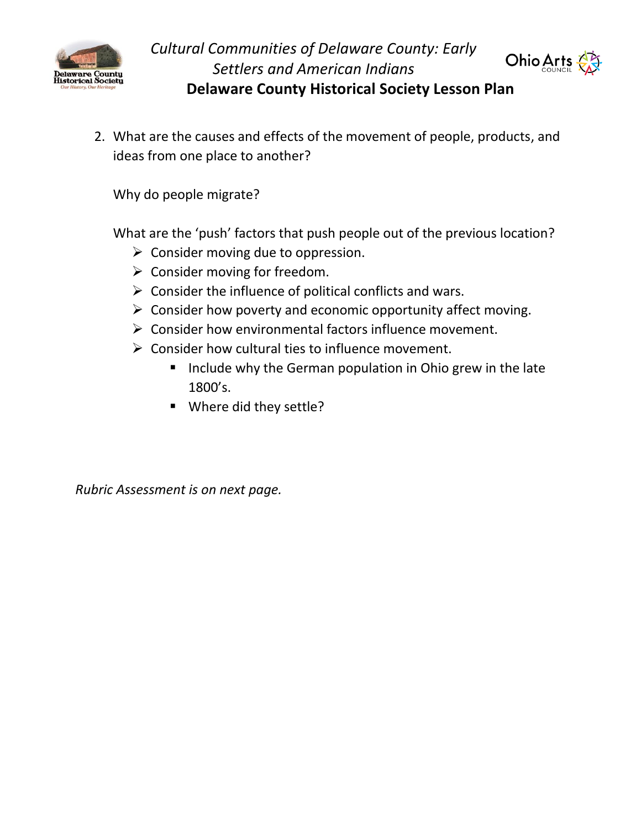



2. What are the causes and effects of the movement of people, products, and ideas from one place to another?

Why do people migrate?

What are the 'push' factors that push people out of the previous location?

- $\triangleright$  Consider moving due to oppression.
- $\triangleright$  Consider moving for freedom.
- $\triangleright$  Consider the influence of political conflicts and wars.
- $\triangleright$  Consider how poverty and economic opportunity affect moving.
- ➢ Consider how environmental factors influence movement.
- $\triangleright$  Consider how cultural ties to influence movement.
	- Include why the German population in Ohio grew in the late 1800's.
	- Where did they settle?

*Rubric Assessment is on next page.*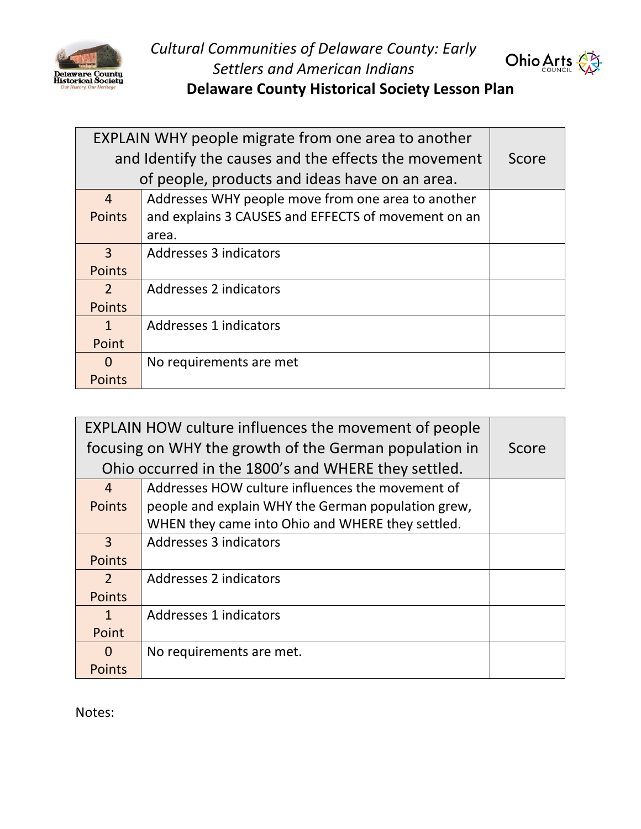

*Cultural Communities of Delaware County: Early Settlers and American Indians*



**Delaware County Historical Society Lesson Plan**

| <b>EXPLAIN WHY people migrate from one area to another</b> |                                                     |       |
|------------------------------------------------------------|-----------------------------------------------------|-------|
| and Identify the causes and the effects the movement       |                                                     | Score |
| of people, products and ideas have on an area.             |                                                     |       |
| $\overline{4}$                                             | Addresses WHY people move from one area to another  |       |
| <b>Points</b>                                              | and explains 3 CAUSES and EFFECTS of movement on an |       |
|                                                            | area.                                               |       |
| 3                                                          | Addresses 3 indicators                              |       |
| <b>Points</b>                                              |                                                     |       |
| $\mathcal{P}$                                              | Addresses 2 indicators                              |       |
| <b>Points</b>                                              |                                                     |       |
| $\mathbf{1}$                                               | Addresses 1 indicators                              |       |
| Point                                                      |                                                     |       |
| O                                                          | No requirements are met                             |       |
| <b>Points</b>                                              |                                                     |       |

| <b>EXPLAIN HOW culture influences the movement of people</b> |                                                    |       |
|--------------------------------------------------------------|----------------------------------------------------|-------|
| focusing on WHY the growth of the German population in       |                                                    | Score |
| Ohio occurred in the 1800's and WHERE they settled.          |                                                    |       |
| $\overline{4}$                                               | Addresses HOW culture influences the movement of   |       |
| <b>Points</b>                                                | people and explain WHY the German population grew, |       |
|                                                              | WHEN they came into Ohio and WHERE they settled.   |       |
| $\overline{3}$                                               | Addresses 3 indicators                             |       |
| <b>Points</b>                                                |                                                    |       |
| $\mathcal{P}$                                                | Addresses 2 indicators                             |       |
| <b>Points</b>                                                |                                                    |       |
| $\mathbf{1}$                                                 | Addresses 1 indicators                             |       |
| Point                                                        |                                                    |       |
| $\Omega$                                                     | No requirements are met.                           |       |
| <b>Points</b>                                                |                                                    |       |

Notes: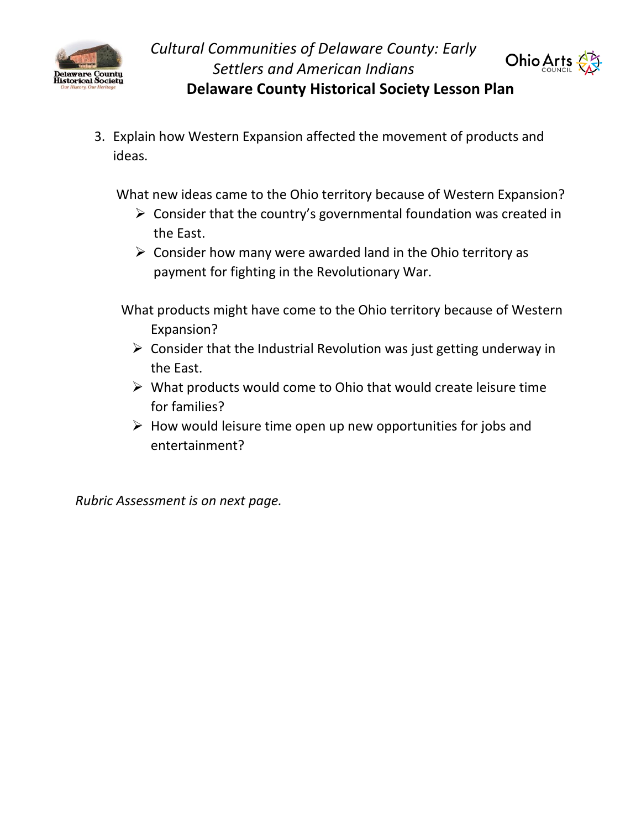



3. Explain how Western Expansion affected the movement of products and ideas.

What new ideas came to the Ohio territory because of Western Expansion?

- $\triangleright$  Consider that the country's governmental foundation was created in the East.
- $\triangleright$  Consider how many were awarded land in the Ohio territory as payment for fighting in the Revolutionary War.

What products might have come to the Ohio territory because of Western Expansion?

- $\triangleright$  Consider that the Industrial Revolution was just getting underway in the East.
- $\triangleright$  What products would come to Ohio that would create leisure time for families?
- $\triangleright$  How would leisure time open up new opportunities for jobs and entertainment?

*Rubric Assessment is on next page.*